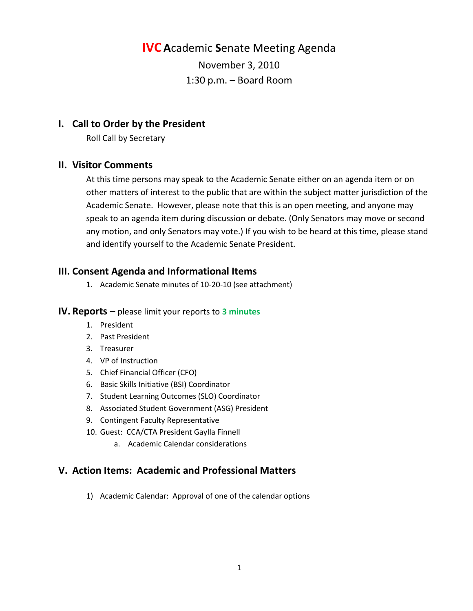**IVC A**cademic **S**enate Meeting Agenda

November 3, 2010 1:30 p.m. – Board Room

## **I. Call to Order by the President**

Roll Call by Secretary

#### **II. Visitor Comments**

At this time persons may speak to the Academic Senate either on an agenda item or on other matters of interest to the public that are within the subject matter jurisdiction of the Academic Senate. However, please note that this is an open meeting, and anyone may speak to an agenda item during discussion or debate. (Only Senators may move or second any motion, and only Senators may vote.) If you wish to be heard at this time, please stand and identify yourself to the Academic Senate President.

# **III. Consent Agenda and Informational Items**

1. Academic Senate minutes of 10-20-10 (see attachment)

#### **IV. Reports** – please limit your reports to **3 minutes**

- 1. President
- 2. Past President
- 3. Treasurer
- 4. VP of Instruction
- 5. Chief Financial Officer (CFO)
- 6. Basic Skills Initiative (BSI) Coordinator
- 7. Student Learning Outcomes (SLO) Coordinator
- 8. Associated Student Government (ASG) President
- 9. Contingent Faculty Representative
- 10. Guest: CCA/CTA President Gaylla Finnell
	- a. Academic Calendar considerations

# **V. Action Items: Academic and Professional Matters**

1) Academic Calendar: Approval of one of the calendar options